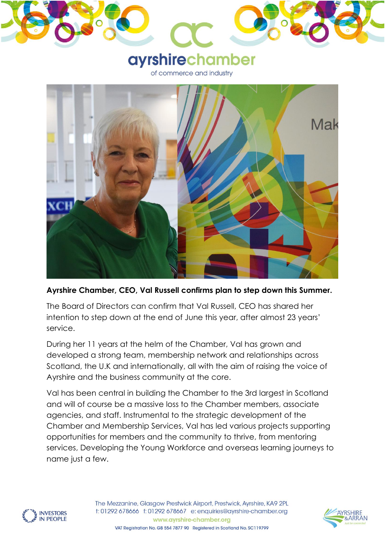

**Ayrshire Chamber, CEO, Val Russell confirms plan to step down this Summer.** 

The Board of Directors can confirm that Val Russell, CEO has shared her intention to step down at the end of June this year, after almost 23 years' service.

During her 11 years at the helm of the Chamber, Val has grown and developed a strong team, membership network and relationships across Scotland, the U.K and internationally, all with the aim of raising the voice of Ayrshire and the business community at the core.

Val has been central in building the Chamber to the 3rd largest in Scotland and will of course be a massive loss to the Chamber members, associate agencies, and staff. Instrumental to the strategic development of the Chamber and Membership Services, Val has led various projects supporting opportunities for members and the community to thrive, from mentoring services, Developing the Young Workforce and overseas learning journeys to name just a few.